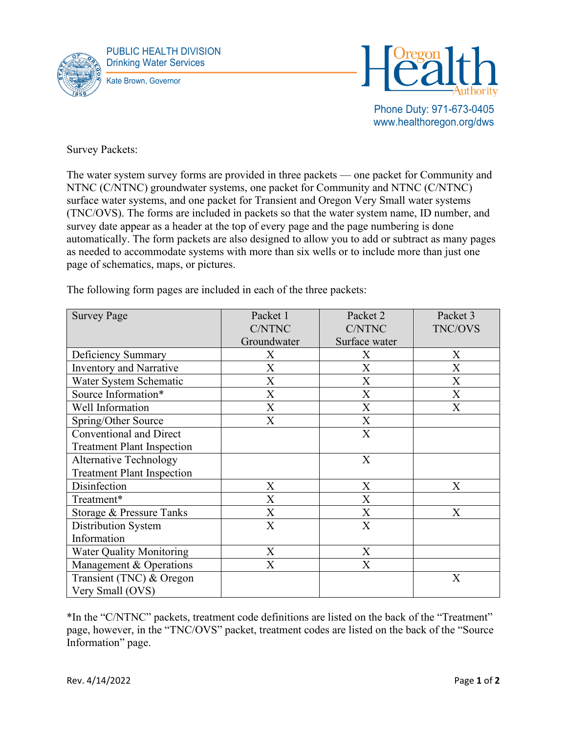

PUBLIC HEALTH DIVISION Drinking Water Services Kate Brown, Governor



Phone Duty: 971-673-0405 www.healthoregon.org/dws

Survey Packets:

The water system survey forms are provided in three packets — one packet for Community and NTNC (C/NTNC) groundwater systems, one packet for Community and NTNC (C/NTNC) surface water systems, and one packet for Transient and Oregon Very Small water systems (TNC/OVS). The forms are included in packets so that the water system name, ID number, and survey date appear as a header at the top of every page and the page numbering is done automatically. The form packets are also designed to allow you to add or subtract as many pages as needed to accommodate systems with more than six wells or to include more than just one page of schematics, maps, or pictures.

The following form pages are included in each of the three packets:

| <b>Survey Page</b>                | Packet 1                  | Packet 2                  | Packet 3                  |
|-----------------------------------|---------------------------|---------------------------|---------------------------|
|                                   | C/NTNC                    | C/NTNC                    | TNC/OVS                   |
|                                   | Groundwater               | Surface water             |                           |
| Deficiency Summary                | X                         | X                         | X                         |
| <b>Inventory and Narrative</b>    | $\boldsymbol{\mathrm{X}}$ | $\overline{\mathrm{X}}$   | $\boldsymbol{\mathrm{X}}$ |
| Water System Schematic            | X                         | X                         | X                         |
| Source Information*               | X                         | $\boldsymbol{\mathrm{X}}$ | X                         |
| Well Information                  | X                         | X                         | X                         |
| Spring/Other Source               | $\overline{X}$            | X                         |                           |
| <b>Conventional and Direct</b>    |                           | X                         |                           |
| <b>Treatment Plant Inspection</b> |                           |                           |                           |
| <b>Alternative Technology</b>     |                           | X                         |                           |
| <b>Treatment Plant Inspection</b> |                           |                           |                           |
| Disinfection                      | X                         | X                         | X                         |
| Treatment*                        | X                         | X                         |                           |
| Storage & Pressure Tanks          | X                         | $\boldsymbol{\mathrm{X}}$ | X                         |
| Distribution System               | X                         | $\overline{X}$            |                           |
| Information                       |                           |                           |                           |
| <b>Water Quality Monitoring</b>   | X                         | X                         |                           |
| Management & Operations           | X                         | X                         |                           |
| Transient (TNC) & Oregon          |                           |                           | X                         |
| Very Small (OVS)                  |                           |                           |                           |

\*In the "C/NTNC" packets, treatment code definitions are listed on the back of the "Treatment" page, however, in the "TNC/OVS" packet, treatment codes are listed on the back of the "Source Information" page.